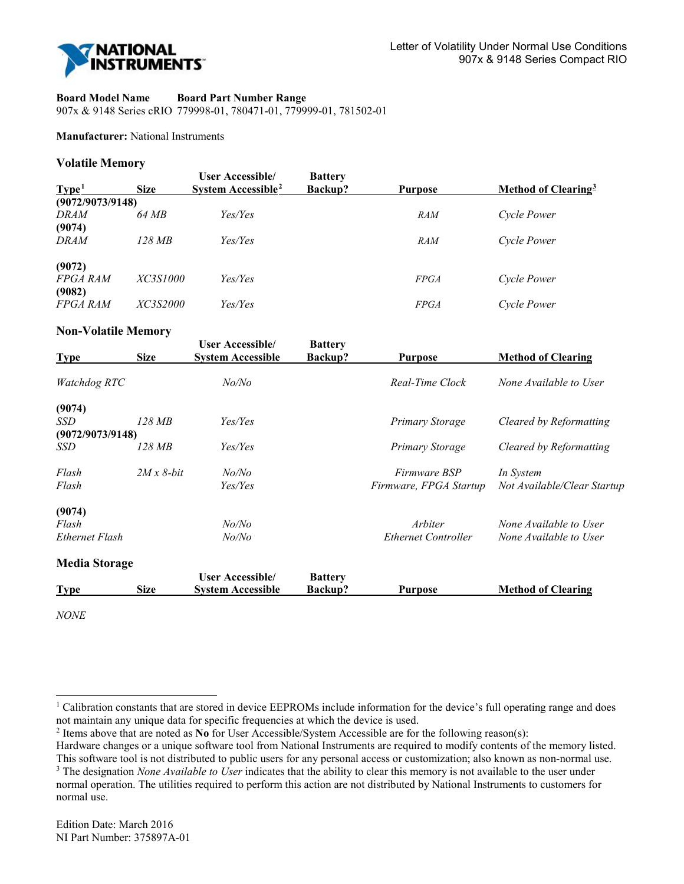

#### **Board Model Name Board Part Number Range**

907x & 9148 Series cRIO 779998-01, 780471-01, 779999-01, 781502-01

### **Manufacturer:** National Instruments

#### **Volatile Memory**

| Type <sup>1</sup> | <b>Size</b>     | <b>User Accessible/</b><br>System Accessible <sup>2</sup> | <b>Battery</b><br>Backup? | <b>Purpose</b> | Method of Clearing <sup>3</sup> |
|-------------------|-----------------|-----------------------------------------------------------|---------------------------|----------------|---------------------------------|
| (9072/9073/9148)  |                 |                                                           |                           |                |                                 |
| <i>DRAM</i>       | 64 MB           | Yes/Yes                                                   |                           | <b>RAM</b>     | Cycle Power                     |
| (9074)            |                 |                                                           |                           |                |                                 |
| <i>DRAM</i>       | 128 MB          | Yes/Yes                                                   |                           | <b>RAM</b>     | Cycle Power                     |
| (9072)            |                 |                                                           |                           |                |                                 |
| <b>FPGA RAM</b>   | <i>XC3S1000</i> | Yes/Yes                                                   |                           | <i>FPGA</i>    | Cycle Power                     |
| (9082)            |                 |                                                           |                           |                |                                 |
| <b>FPGA RAM</b>   | <i>XC3S2000</i> | Yes/Yes                                                   |                           | <b>FPGA</b>    | Cycle Power                     |

# **Non-Volatile Memory**

| <b>Type</b>          | <b>Size</b> | <b>User Accessible/</b><br><b>System Accessible</b> | <b>Battery</b><br>Backup? | <b>Purpose</b>             | <b>Method of Clearing</b>   |
|----------------------|-------------|-----------------------------------------------------|---------------------------|----------------------------|-----------------------------|
| Watchdog RTC         |             | No/No                                               |                           | Real-Time Clock            | None Available to User      |
| (9074)               |             |                                                     |                           |                            |                             |
| SSD                  | 128 MB      | Yes/Yes                                             |                           | Primary Storage            | Cleared by Reformatting     |
| (9072/9073/9148)     |             |                                                     |                           |                            |                             |
| SSD                  | 128 MB      | Yes/Yes                                             |                           | Primary Storage            | Cleared by Reformatting     |
| Flash                | $2Mx8$ -bit | No/No                                               |                           | <i>Firmware BSP</i>        | In System                   |
| Flash                |             | Yes/Yes                                             |                           | Firmware, FPGA Startup     | Not Available/Clear Startup |
| (9074)               |             |                                                     |                           |                            |                             |
| Flash                |             | No/No                                               |                           | Arbiter                    | None Available to User      |
| Ethernet Flash       |             | No/No                                               |                           | <b>Ethernet Controller</b> | None Available to User      |
| <b>Media Storage</b> |             |                                                     |                           |                            |                             |
|                      |             | <b>User Accessible/</b>                             | <b>Battery</b>            |                            |                             |
| <b>Type</b>          | <b>Size</b> | <b>System Accessible</b>                            | Backup?                   | <b>Purpose</b>             | <b>Method of Clearing</b>   |

*NONE* 

-

<span id="page-0-0"></span><sup>&</sup>lt;sup>1</sup> Calibration constants that are stored in device EEPROMs include information for the device's full operating range and does not maintain any unique data for specific frequencies at which the device is used.

<span id="page-0-1"></span><sup>2</sup> Items above that are noted as **No** for User Accessible/System Accessible are for the following reason(s):

Hardware changes or a unique software tool from National Instruments are required to modify contents of the memory listed. This software tool is not distributed to public users for any personal access or customization; also known as non-normal use.

<span id="page-0-2"></span><sup>3</sup> The designation *None Available to User* indicates that the ability to clear this memory is not available to the user under normal operation. The utilities required to perform this action are not distributed by National Instruments to customers for normal use.